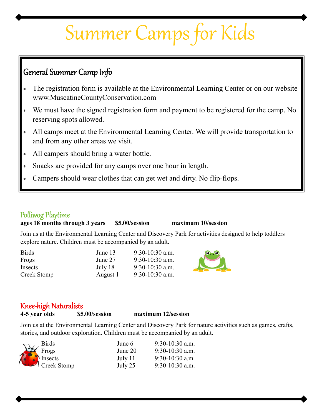# Summer Camps for Kids

## General Summer Camp Info

- The registration form is available at the Environmental Learning Center or on our website www.MuscatineCountyConservation.com
- We must have the signed registration form and payment to be registered for the camp. No reserving spots allowed.
- All camps meet at the Environmental Learning Center. We will provide transportation to and from any other areas we visit.
- All campers should bring a water bottle.
- Snacks are provided for any camps over one hour in length.
- Campers should wear clothes that can get wet and dirty. No flip-flops.

## Polliwog Playime **ages 18 months through 3 years \$5.00/session maximum 10/session**

Join us at the Environmental Learning Center and Discovery Park for activities designed to help toddlers explore nature. Children must be accompanied by an adult.

| <b>Birds</b> | June 13  | $9:30-10:30$ a.m. |
|--------------|----------|-------------------|
| Frogs        | June 27  | $9:30-10:30$ a.m. |
| Insects      | July 18  | $9:30-10:30$ a.m. |
| Creek Stomp  | August 1 | $9:30-10:30$ a.m. |



## Knee-high Natralists **4-5 year olds \$5.00/session maximum 12/session**

Join us at the Environmental Learning Center and Discovery Park for nature activities such as games, crafts, stories, and outdoor exploration. Children must be accompanied by an adult.

|                                          | June 6    | $9:30-10:30$ a.m. |
|------------------------------------------|-----------|-------------------|
|                                          | June $20$ | $9:30-10:30$ a.m. |
|                                          | July $11$ | $9:30-10:30$ a.m. |
| Birds<br>Frogs<br>Insects<br>Creek Stomp | July 25   | $9:30-10:30$ a.m. |